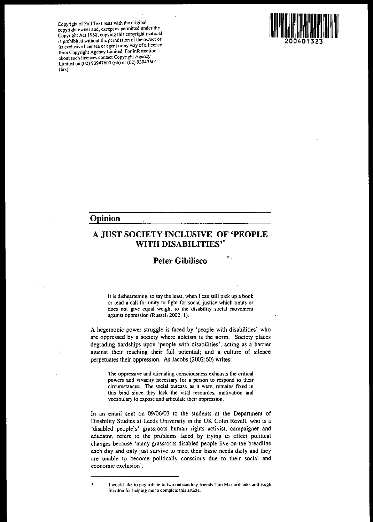**Copyright** of Full **Text rests with the ?riginal copyright owner and, except as penmtted under** th~ **Copyright Act 1968, copying this copyright matenal is** prohibited without the permission of the owner or **its exclusive licensee or agent or by way ofa licence from Copyright Agency Limited, For information about such licences contact Copyright Agency** Limited on (02) 93947600 (ph) or (02) 93947601 (fax)



 $\cdot$ 

## **Opinion**

# A **JUST SOCIETY INCLUSIVE OF 'PEOPLE WITH DISABILITIES'-**

# **Peter Gibilisco**

**It is disheanening. to say the least, when I can still pick up a book or read a'call for unity to fight for social justice which omits or does not give equal weight to the disability social movement against oppression (Russell 2002: 1),**

A hegemonic power struggle is faced by 'people with disabilities' who are oppressed by a society where ableism is the norm. Society places degrading hardships upon 'people with disabilities', acting as a barrier against their reaching their full potential; and a culture of silence perpetuates their oppression. As Jacobs (2002:60) writes:

**The oppressive and alienating consciousness exhausts the critical powers and vivacity necessary for a 'person to respond to their circumstances, The social outcast, as it were, remains fixed in this bind since they lack the vital resources. motivation and vocabulary to expose and aniculate their oppression,**

In an email sent on 09/06/03 to the students at the Department of Disability Studies at Leeds University in the UK Colin Revell, who is a 'disabled people's' grassroots human rights activist, campaigner and educator, refers to the problems faced by trying to effect political changes because 'many grassroots disabled people live on the breadline each day and only just survive to meet their basic needs daily and they are unable to become politically conscious due to their social and **economic exclusion'.**

**Iwould like to pay tribute to two outstanding friends Tim Marjoribanks and Hugh Stretton for helping me to complete this article.**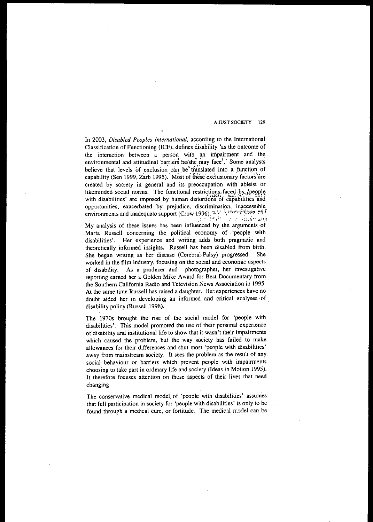In 2003, *Disabled Peoples [nternational,* according to the International Classification of Functioning (ICF), defines disability 'as the outcome of the interaction between a person with an impairment and the environmental and attitudinal barriers he/she may face'.' Some analysts believe that levels of exclusion can be translated into a function of capability (Sen 1999, Zarb 1995).' Most of these exclusionary factors are created by society in general and its preoccupation with ableist or likeminded social norms. The functional restrictions, faced by speople with disabilities' are imposed by human distortions of capabilities and **opportunities, exacerbated by prejudice. discrimination, inaccessible environments and inadequate support (Crow·'1996).** '1.t.i~ :,y:rl....l·irrl-.;.(~ ~fi r - .. :'~ I:' ·':-I:tl·~ ...,rh

My analysis of these issues has been influenced by the arguments of Marta Russell concerning the political economy of. 'people with disabilities'. Her experience and writing adds both pragmatic and theoretically informed insights. Russell has been disabled from birth. She began writing as her disease (Cerebral-Palsy) progressed. She **worked in the film industry, focusing on the social and economic aspects** of disability. As a producer and photographer, her investigative reporting earned her a Golden Mike Award for Best Documentary from the Southern California Radio and Television News Association in 1995, **At the same time Russell has raised a daughter. Her. experiences have no** doubt aided her in developing an informed and critical analyses of. disability policy (Russell 1998).

The 1970s brought the rise of the social model for 'people with disabilities'. This model promoted the use of their personal experience of disability and institutional life to show that it wasn't their impairments which caused the problem, but the way society has failed to make allowances for their differences and shut most 'people with disabilities' away from mainstream society. It sees the problem as the result of any **social behaviour or barriers which prevent people with impairments** choosing to take part in ordinary life and society (Ideas in Motion 1995). **It therefore focuses attention on those aspects of their lives that need** changing.

The conservative medical model. of 'people with disabilities' assumes that full participation in society for 'people with disabilities' is only to be found through a medical cure, or fortitude. The medical model can be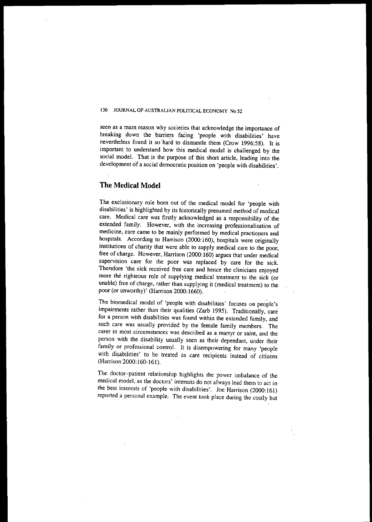seen as a main reason why societies that acknowledge the importance of breaking down the barriers facing 'people with disabilities' have nevertheless found it so hard to dismantle them (Crow 1996:58). It is important to understand how this medical model is challenged by the social modeL That is the purpose of this short article, leading into the development of a social democratic position on 'people with disabilities'.

## **The Medical Model**

The exclusionary role born out of the medical model for 'people with disabilities' is highlighted by its historically presumed method of medical care. Medical care was firstly acknowledged as a responsibility of the extended family. However, with the increasing professionalisation of **medicine, care came to be mainly performed by medical practiorers and** hospitals. According to Harrison (2000:160), hospitals were originally institutions of charity that were able to supply medical care to the poor, free of charge. However, Harrison (2000:160) argues that under medical supervision care for the poor was replaced by care for the sick. Therefore 'the sick received free care and hence the clinicians enjoyed more the righteous role of supplying medical treatment to the sick (or unable) free of charge, rather than supplying it (medical treatment) to the poor (or unworthy)' (Harrison 2000: 1660).

The biomedical model of 'people with disabilities' focuses on people's impairments rather than their qualities (Zarb 1995). Traditionally, care for a person with disabilities was found within the extended family, and such care was usually provided by the female family members. The **carer in most circumstances was described as a martyr or saint, and the** person with the disability usually seen as their dependant, under their family or professional control. It is disempowering for many 'people with disabilities' to be treated as care recipients instead of citizens (Harrison 2000: 160-161).

The doctor-patient relationship highlights the power imbalance of the medical model, as the doctors' interests do not always lead them to act in the best interests of 'people with disabilities'. loe Harrison (2000:161) reported a personal example. The event took place during the costly but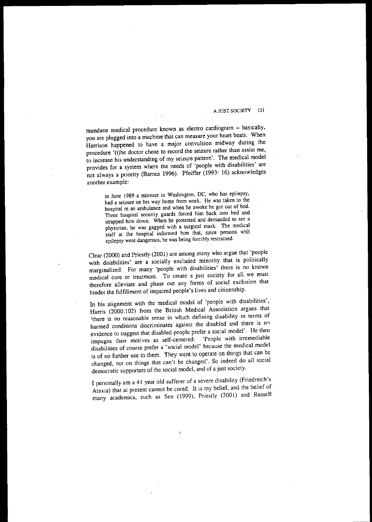mundane medical procedure known as electro cardiogram - basically, you are plugged into a machine that can measure your heart beats. When Harrison happened to have a major convulsion midway during the procedure '(t)he doctor chose to record the seizure rather than assist me, to increase his understanding of my seizure pattern'. The medical model provides for a system where the needs of 'people with disabilities' are not always a priority (Barnes 1996). Pfeiffer (1993: 16) acknowledges another example:

> **in June 1989 a minister in Washington, DC, who has epilepsy, had a seizure on his way home from work. He was taken to the hospital in an ambulance and when he awoke he got out of bed. Three hospital security guards forced him back into bed and strapped him down. When he protested and demanded to see a physician, he was gagged with a surgical mask. The medical staff at the hospital informed him that, since persons with epilepsy were dangerous. he was being forcibly restrained.**

Clear (2000) and Priestly (2001) are among many who argue thal 'people with disabilities' are a socially excluded minority that is politically marginalized. For many 'people with disabilities' there is no known **medical cure or treatment. To create a just society for all we must** therefore alleviate and phase out any forms of social exclusion that hinder the fulfillment of impaired people's lives and citizenship.

In his alignment with the medical model of 'people with disabilities', Harris (2000:102) from the British Medical Association argues that **'there is no reasonable sense in which defining disability in terms of** harmed conditions discriminates against the disabled and there is no evidence to suggest that disabled people prefer a social model'. He then<br>impugns their motives as self-centered: 'People with irremediable **impugns** their motives as self-centered: **disabilities of course prefer a "social model" because the medical model** is of no further use to them. fhey want to operate on things that can be changed, not on things that can't be changed', So indeed do all social democratic supporters of the social model, and of a just society.

I personally am a 41 year old sufferer of a severe disability (Friedreich's Ataxia) that at present cannot be cured, It is my belief, and the belief of many academics, such as Sen (1999), Priestly (2001) and Russell

/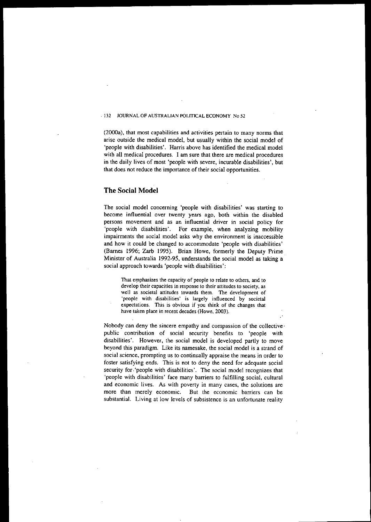(2000a), that most capabilities and activities pertain to many norms that arise outside the medical model, but usually within the social model of 'people with disabilities', Harris above has identified the medical model with all medical procedures, I am sure that there are medical procedures in the daily lives of most 'people with severe, incurable disabilities', but that does not reduce the importance of their social opportunities,

## **The Social Model**

The social model concerning 'people with disabilities' was starting to become influential over twenty years ago, both within the disabled **persons movement and as an influential driver in social policy for** 'people with disabilities', For example, when analyzing mobility **impairments the social model asks why the environment is inaccessible** and how it could be changed to accommodate 'people with disabilities' (Barnes 1996; Zarb 1995), Brian Howe, formerly the Deputy Prime Minister of Australia 1992-95, understands the social model as taking a social approach towards 'people with disabilities':

 $T$  **h**at emphasizes the capacity of people to relate to others, and to **develop their capacities in response to their attitudes to society, as well as societal attitudes towards them. The development of 'people with disabilities' is largely influenced by societal expectations. This is obvious if you think of the changes that have taken place in recent decades (Howe, 2003).**

Nobody can deny the sincere empathy and compassion of the collective' public contribution of social security benefits to 'people with disabilities', However, the social model is developed partly to move beyond this paradigm, Like its namesake, the social model is a strand of social science, prompting us to continually appraise the means in order to foster satisfying ends, This is not to deny the need for adequate social security for.'people with disabilities', The social model recognizes that 'people with disabilities' face many barriers to fulfilling social, cultural **and economic lives. As with poverty in many cases, the solutions are more than merely economic. But the economic barriers can be substantial. Living at low levels of subsistence is an unfortunate reality**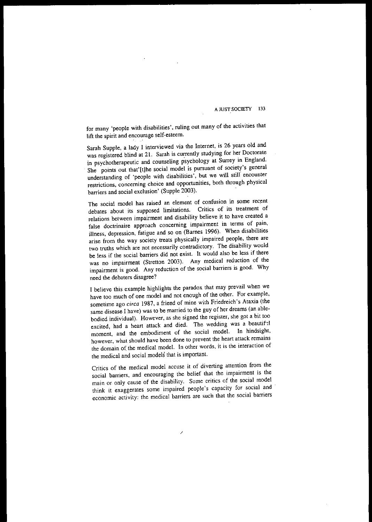for many 'people with disabilities', ruling out many of the activities that lift the spirit and encourage self-esteem.

Sarah Supple, a lady I interviewed via the Internet, is 26 years old and was registered blind at 21. Sarah is currently studying for her Doctorate in psychotherapeutic and counseling psychology at Surrey in England. She points out that'[t]he social model is pursuant of society's general understanding of 'people with disabilities', but we will still encounter **restrictions. concerning choice and opportunities. both through physical** barriers and social exclusion' (Supple 2003).

**The** social model has raised an element of confusion in some recent debates about its supposed limitations. Critics of its treatment of relations between impairment and disability believe it to have created a **false doctrinaire approach concerning impairment in terms of pain,** illness, depression, fatigue and so on (Barnes 1996). When disabilities arise from the way society treats physically impaired people, there are two truths which are not necessarily contradictory. The disability would be less if the social barriers did not exist. It would also be less if there was no impairment (Stretton 2003). Any medical reduction of the impairment is good. Any reduction of the social barriers is good. Why need the debaters disagree?

I believe this example highlights the paradox that may prevail when we have too much of one model and not enough of the other. For example, sometime ago *circa* 1987, a friend of mine with Friedreich's Ataxia (the same disease I have) was to be married to the guy of her dreams (an ablebodied individual). However, as she signed the register, she got a bit too excited, had a heart attack and died. The wedding was a beautif:1 moment, and the embodiment of the social model. In hindsight, **however, what should have been done to prevent the heart attack remains** the domain of the medical model. In other words. it is the interaction of the medical and social models that is important.

Critics of the medical model accuse it of diverting attention from the social barriers, and encouraging the belief that the impairment is the main or only cause of the disability. Some critics of the social model think it exaggerates some impaired people's capacity for social and **economic activity: the medical barriers are such that the social barriers**

/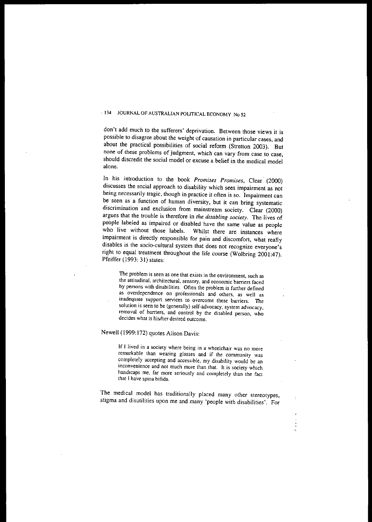**don't add much to the sufferers' deprivation. Between those views it is possible to disagree about the weight of causation in particular cases, and** about the practical possibilities of social reform (Stretton 2003). But **none of these problems of judgment, which can vary from case to case,** should discredit the social model or excuse a belief in the medical model **alone.**

In his introduction to the book *Promises Promises,* Clear' (2000) discusses the social approach to disability which sees impairment as not **being necessarily tragic, though in practice it often is so. "Impairment can** be seen as a function of human diversity, but it can bring systematic discrimination and exclusion from mainstream society. Clear (2000) argues that the trouble is therefore in *rhe disabling sociery.* The lives of people labeled as impaired or disabled have the same value as people who live without those labels. Whilst there are instances where impairment is directly responsible for pain and discomfort, what really **disables is the soda-cultural system that does not recognize everyone's** right to equal treatment throughout the life course (Wolbring 2001:47). Pfeiffer (1993: 31) states:

**The problem is seen as One that exists in the environment, such as**  $t$  the attitudinal, architectural, sensory, and economic barriers faced **by persons with disabilities. Often the problem is further defined as overdependence on professionals and others, as well as inadequate support services to overcome these barriers. The solution is seen to be (generally) self·advocacy, system advocacy, removal of barriers, and control by the disabled person, who decides what is hislher desired outcome.**

Newell (1999: 172) quotes Alison Davis:

**If I lived in a society where being in a wheelchair was no more remarkable than wearing glasses and if the community was completely accepting and accessible, my disability would be an inconvenience and not much more than that. It is society which handicaps me, far more seriously and completely than the fact that J have spina bifida.**

The medical model has traditionally placed many other stereotypes, stigma and disutilities upon me and many 'people with disabilities'. For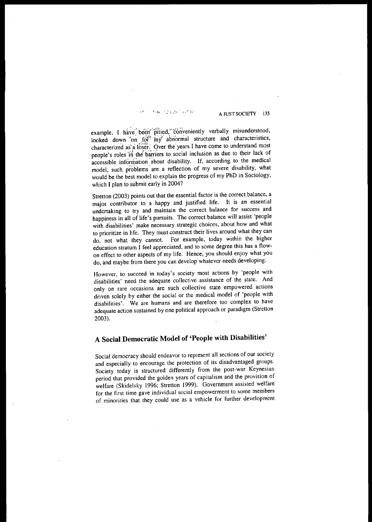## 700 - 323 U.S. S. L. W.

A JUST SOCIETY 135

example, I have been pitted, conveniently verbally misunderstood, looked down on for<sup>1</sup> my abnormal structure and characteristics, characterized as a loser. Over the years I have come to understand most people's roles in the barriers to social inclusion as due to their lack of accessible information about disability. If, according to the medical model, such problems are a reflection of my severe disability, what would be the best model to explain the progress of my PhD in Sociology, which I plan to submit early in 2004?

Stretton (2003) points out that the essential factor is the correct balance, a major contributor to a happy and justified life, It is an essential **undertaking to try and maintain the correct balance for success and** happiness in all of life's pursuits, The correct balance will assist 'people **with disabilities' make necessary strategic choices, about how and what to prioritize in life. They must construct their lives around what they can** do, not what they cannot. For example, today within the higher **education stratum I feel appreciated, and to some degree this has a flow**on effect to other aspects of my life, Hence, you should enjoy what you do, and maybe from there you can develop whatever needs developing,

**However, to succeed in today's society most actions by 'people with disabilities' need the adequate collective assistance of the state. And only on rare occasions are such collective state empowered actions** driven solely by either the social or the medical model of 'people with disabilities'. We are humans and are therefore too complex to have adequate action sustained by one political approach or paradigm (Stretton 2003),

# **A Social Democratic Model of 'People with Disabilities'**

Social democracy should endeavor to represent all sections of our society and especially to encourage the protection of its disadvantaged groups, Society today is structured differently from the post-war Keynesian period that provided the golden years of capitalism and the provision of welfare (Skidelsky 1996; Stretton 1999), Government assisted welfare **for the first time gave individual·social empowerment to some members** of minorities that they could use as a vehicle for further development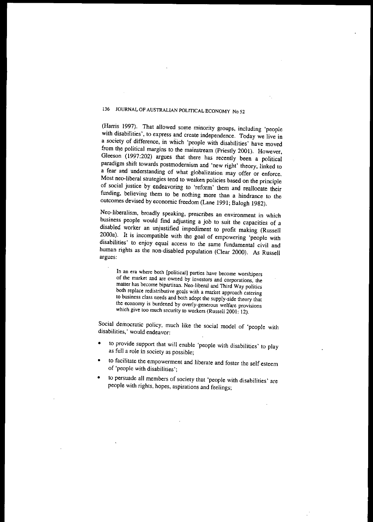(Harris 1997). That allowed some minority groups, including 'people with disabilities', to express and create independence. Today we live in a society of difference, in which 'people with disabilities' have moved from the political margins to the mainstream (Priestly 2001). However, Gleeson (1997:202) argues that there has recently been a political paradigm shift towards postmodernism and 'new right' theory, linked to a fear and understanding of what globalization may offer or enforce. Most neo-liberal strategies tend to weaken policies based on the principle of social justice by endeavoring to 'reform' them and reallocate their funding, believing them to be nothing more than a hindrance to the outcomes devised by economic freedom (Lane 1991; Balogh 1982).

Neo-Iiberalism, broadly speaking, prescribes an environment in which business people would find adjusting a job to suit the capacities of a disabled worker an unjustified impediment to profit making (Russell 20ooa). It is incompatible with the goal of empowering 'people with disabilities' to enjoy equal access to the same fundamental civil and human rights as the non-disabled population (Clear 2000). As Russell **argues:**

**In an era where both [political] parties have become worshipers of the market and are owned by investors and corporations. the matter has become bipartisan. Neo-liberal and Third Way politics both replace redistributive goals with a market approach catering to business class needs and both adopt the supply-side theory that the economy is burdened by overly·generous welfare provisions which give too much security to workers (Russell 2001: 12).**

Social democratic policy, much like the social model of 'people with disabilities,' would endeavor:

- to provide support that will enable 'people with disabilities' to play as full a role in society as possible;
- to facilitate the empowerment and liberate and foster the self esteem of 'people with disabilities';
- to persuade all members of society that 'people with disabilities' are people with rights, hopes, aspirations and feelings;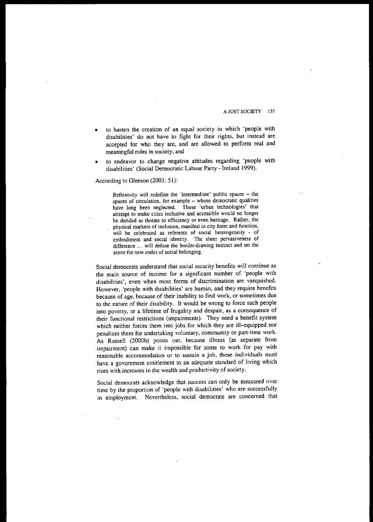- to hasten the creation of an equal society in which 'people with disabilities' do not have to fight for their rights. but instead are accepted for who they are, and are allowed to perform real and  $meanineful$  roles in society; and
- to endeavor to change negative attitudes regarding 'people with disabilities' (Social Democratic Labour Party - Ireland 1999).

According to Gleeson (2001: 51):

**Reflexivity will redefine the 'intermediate' public spaces - the spaces of circulation, for example - whose democratic qualities have long been neglected. Those 'urban technologies' that attempt to make cities inclusive and accessible would no longer be derided as threats to efficiency or even heritage. Rather, the physical markers of inclusion, manifest in city form and function, will be celebrated as referents of social heterogeneity - of embodiment and social identity. The sheer pervasiveness of difference ... will defuse the border-drawing instinct and set the scene for new codes of social belonging.**

**Social democrats understand that social security benefits will continue as** the main source of income for a significant number of 'people with **disabilities', even when most forms of discrimination are vanquished.** However, 'people with disabilities' are human, and they require benefits because of age, because of their inability to find work, or sometimes due to the nature of their disability. It would be wrong to force such people into poverty, or a lifetime of frugality and despair, as a consequence of their functional restrictions (impairments). They need a benefit system which neither forces them into jobs for which they are ill-equipped nor **penalizes them for undertaking voluntary, community or part-time work.** As Russell (2000b) points out, because illness (as separate from impairment) can make it impossible for some to work for pay with **reasonable accommodation or to sustain a job, those individuals must** have a government entitlement to an adequate standard of living which rises with increases in the wealth and productivity of society.

**Social democrats acknowledge that success can only be measured over** time by the proportion of 'people with disabilities' who are successfully in employment. Nevertheless, social democrats are concerned that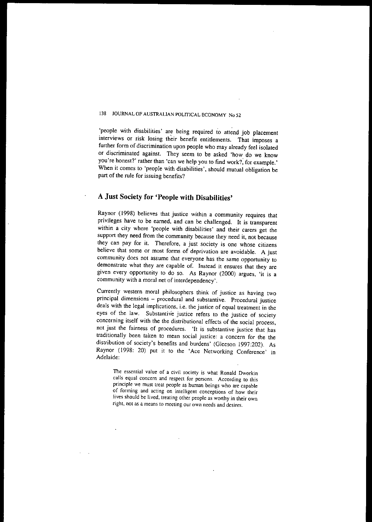'people with disabilities' are being required to attend job placement interviews or risk losing their benefit entitlements. That imposes a further form of discrimination upon people who may already feel isolated or discriminated against. They seem to be asked 'how do we know **you're honest?' rather than 'can we help you to find work?, for example.'** When it comes to 'people with disabilities', should mutual obligation be part of the rule for issuing benefits?

# **A Just Society for 'People with Disabilities'**

Raynor (1998) believes that justice within a community requires that privileges have to be earned, and can be challenged. It is transparent within a city where 'people with disabilities' and their carers get the support they need from the community because they need it, not because they can pay for it. Therefore, a just society is one whose citizens **believe that some or most forms of deprivation are avoidable. A just community does not assume that everyone has the same opportunity to demonstrate what they are capable of. Instead it ensures that they are** given every opportunity to do so. As Raynor (2000) argues, 'it is a **community with a moral net of interdependency'.**

**Currently western moral philosophers think of justice as having two principal dimensions - procedural and substantive. Procedural justice** deals with the legal implications, i.e. the justice of equal treatment in the eyes of the law. Substantive justice refers to the justice of society concerning itself with the the distributional effects of the social process, **not just the fairness of procedures. 'It is substantive justice that has traditionally been taken to mean social justice: a concern for the the** distribution of society's benefits and burdens' (Gleeson 1997:202). As Raynor (1998: 20) put it to the 'Ace Networking Conference' in Adelaide:

**The essential value of a civil society is what Ronald Dworkin calls equal concern and respect for persons. According to this principle we must treat people as human beings who are capable of forming and acting on intelligent conceptions of how their lives should be lived, treating other people as worthy in their own right, not as a means to meeting our own needs and desires.**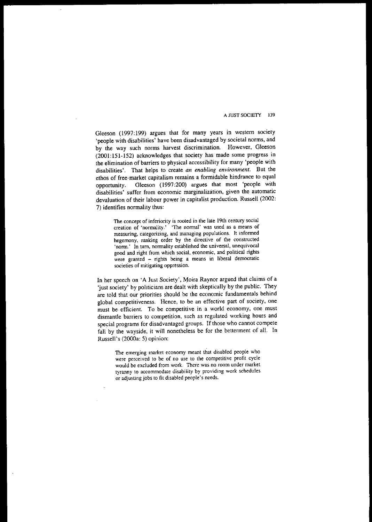Gleeson (1997:199) argues that for many years in western society 'people with disabilities' have been disadvantaged by societal norms, and by the way such norms harvest discrimination. However, Gleeson (2001:151-152) acknowledges that society has made some progress in the elimination of barriers to physical accessibility for many 'people with disabilities'. That helps to create *an enabling environment.* But the ethos of free-market capitalism remains a formidable hindrance to equal opportunity. Gleeson (1997:200) argues that most 'people with **disabilities' suffer from economic marginaliz3.tion, given the automatic** devaluation of their labour power in capitalist production. Russell (2002: 7) identifies normality thus:

**The concept of inferiority is rooted in the late 19th century social creation of 'normality.' 'The normal' was used as a means of measuring, categorizing, and managing populations, It informed hegemony, ranking order by the directive of the constructed 'norm.' In turn, normality established the universal, unequivocal good and right from which social, economic, and political rights were granted - rights being a means in liberal democratic societies of mitigating oppression.**

In her speech on 'A Just Society'. Moira Raynor argued that claims of a 'just society' by politicians are dealt with skeptically by the public. They are told that our priorities should be the economic fundamentals behind global competitiveness. Hence, to be an effective part of society, one **must be- efficient. To be competitive in a world economy, one must dismantle barriers to competition, such as regulated working hours and** special programs for disadvantaged groups. If those who cannot compete fall by the wayside, it will nonetheless be for the betterment of all. In Russell's (2000a: 5) opinion:

> **The emerging market economy meant that disabled people who were perceived to be of no use to the competitive profit cycle would be excluded from work. There was no room under market tyranny to accommodate disability by providing work schedules or** adjusting jobs **to fit disabled people's needs.**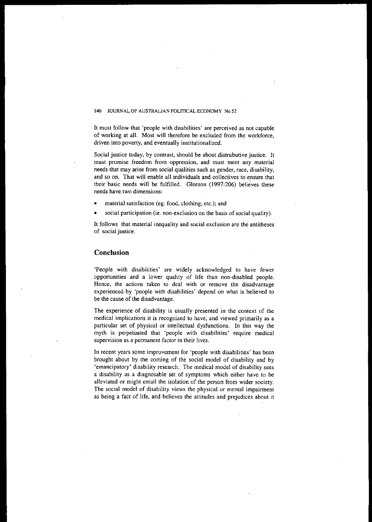It must follow that 'people with disabilities' are perceived as not capable of working at all. Most will therefore be excluded from the workforce, **driven into poverty, and eventually institutionalized.**

Social justice today, by contrast, should be about distrubutive justice. It **must promise freedom from oppression. and must meet any material** needs that may arise from social qualities such as gender, race, disability, and so on. That will enable all individuals and collectives to ensure thal their basic needs will be fulfilled. Gleeson (1997:206) believes these **needs have two dimensions:**

- material satisfaction (eg. food, clothing, etc.); and
- $\phi$  **social** participation (ie. non-exclusion on the basis of social quality).

It follows that material inequality and social exclusion are the antitheses **of social justice.**

### **Conclusion**

'People with disabilities' are widely acknowledged to have fewer opportunities and a lower quality of life than non-disabled people. **Hence, the actions taken to deal with or remove the disadvantage** experienced by 'people with disabilities' depend on what is believed 10 be the cause of the disadvantage.

The experience of disability is usually presented in the context of the **medical implications it is recognized to have, and viewed primarily as a** particular set of physical or intellectual dysfunctions. In this way the myth is perpetuated that 'people with disabilities' require medical **supervision as a permanent factor in their lives.**

In recent years some improvement for 'people with disabilities' has been brought about by the coming of the social model of disability and by 'emancipatory' disability research. The medical model of disability sees a disability as a diagnosable set of symptoms which either have to be **alleviated or might entail the isolation of the person from wider society.** The social model of disability views the physical or mental impairment as being a fact of life, and believes the attitudes and prejudices about it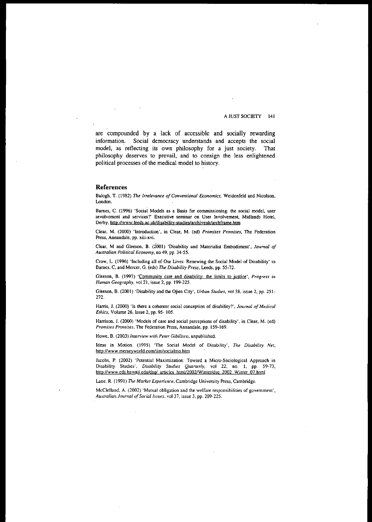are compounded by a lack of accessible and socially rewarding information. Social democracy understands and accepts the social model, as reflecting its own philosophy for a just society. That philosophy deserves to prevail, and to consign the less enlightened political processes of the medical model to history.

### References

Balogh, T. (1982) *The Irrelevance of Conventional Economics*, Weidenfeld and Nicolson, London.

Bames. C. (1996) 'Social Models as a Basis for commissioning: the social model, user involvement and services?' Executive seminar on User Involvement. Midlands Hotel, Derby, http://www.leeds.ac.uk/disability-studies/archiveuk/archframe.htm

Clear, M. (2000) 'Introduction', in Clear, M. (ed) *Promises Promises,* The Federation Press. Annandale, pp. xiii-xvi.

Clear, M and Gleeson, B. (2001) 'Disability and Materialist Embodiment', Journal of *Australian Political Economy,* no 49, pp. 34-55.

Crow, L. (1996) 'Including all of Our Lives: Renewing the Social Model of Disability' in Barnes, C, and Mercer, G. (eds) *The Disability Press,* Leeds, pp. 55-72.

Gleeson, B. (1997) 'Community care and disability: the limits to justice', *Progress in Human Geography, vol* 21, issue 2, pp. 199-225.

Gleeson, B. (2001) 'Disability and the Open City', *Urban Studies,* vol 38, issue 2, pp. 251- 272.

Hams, 1. (2000) 'Is there a coherent social conception of disability?', *Journal of Medical Ethics,* Volume 26, Issue 2, pp. 95- 105.

Harrison, J. (2000) 'Models of care and social perceptions of disability', in Clear, M. (ed) Promises Promises, The Federation Press, Annandale, pp. 159-169.

Howe, B. (2003) *lllterview with Peter Gibilisco,* unpublished.

Ideas in Motion. (1995) 'The Social Model of Disability', *Tile Disability Net,* http://www.merseyworld.com/iim/socialmo.htm

Jacobs, P. (2002) 'Potential Maximization: Toward a Micro-Sociological Approach in Disability Studies', *Disability Studies Quarterly,* vol 22, no. 1, pp. 59-73, hup:llwww.cds.hawaii.eduldsq/ articles *htmV2002IWinter/dsq* 2002 Winter 07.html

Lane, R. (1991) *The Market Experience*, Cambridge University Press, Cambridge.

McClelland, A. (2002) 'Mutual obligation and the welfare responsibilities of government', Australian Journal of Social Issues, vol 37, issue 3, pp. 209-225.